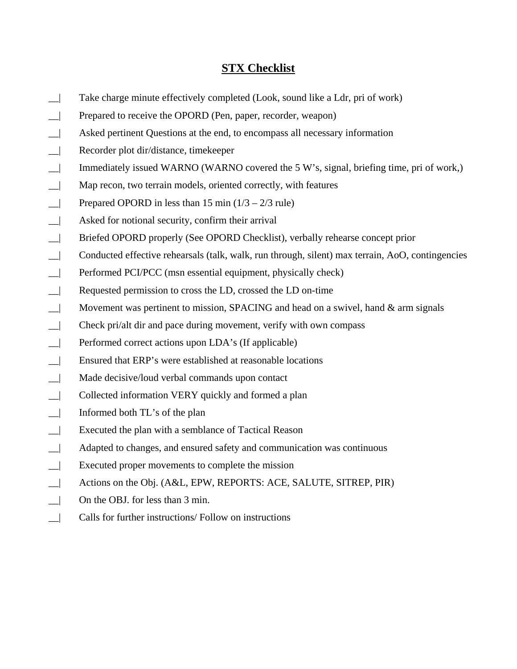## **STX Checklist**

- \_\_| Take charge minute effectively completed (Look, sound like a Ldr, pri of work)
- \_\_| Prepared to receive the OPORD (Pen, paper, recorder, weapon)
- \_\_| Asked pertinent Questions at the end, to encompass all necessary information
- \_\_| Recorder plot dir/distance, timekeeper
- \_\_| Immediately issued WARNO (WARNO covered the 5 W's, signal, briefing time, pri of work,)
- \_\_| Map recon, two terrain models, oriented correctly, with features
- $\Box$  Prepared OPORD in less than 15 min  $(1/3 2/3$  rule)
- \_\_| Asked for notional security, confirm their arrival
- \_\_| Briefed OPORD properly (See OPORD Checklist), verbally rehearse concept prior
- \_\_| Conducted effective rehearsals (talk, walk, run through, silent) max terrain, AoO, contingencies
- \_\_| Performed PCI/PCC (msn essential equipment, physically check)
- \_\_| Requested permission to cross the LD, crossed the LD on-time
- $\Box$  Movement was pertinent to mission, SPACING and head on a swivel, hand  $\&$  arm signals
- \_\_| Check pri/alt dir and pace during movement, verify with own compass
- \_\_| Performed correct actions upon LDA's (If applicable)
- \_\_| Ensured that ERP's were established at reasonable locations
- \_\_| Made decisive/loud verbal commands upon contact
- \_\_| Collected information VERY quickly and formed a plan
- \_\_| Informed both TL's of the plan
- \_\_| Executed the plan with a semblance of Tactical Reason
- \_\_| Adapted to changes, and ensured safety and communication was continuous
- \_\_| Executed proper movements to complete the mission
- \_\_| Actions on the Obj. (A&L, EPW, REPORTS: ACE, SALUTE, SITREP, PIR)
- \_\_| On the OBJ. for less than 3 min.
- \_\_| Calls for further instructions/ Follow on instructions